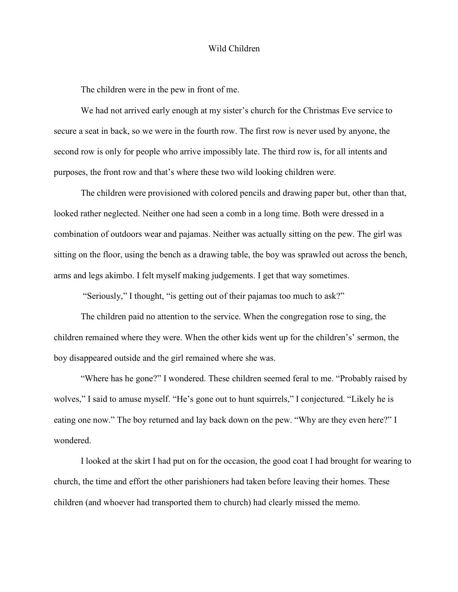## Wild Children

The children were in the pew in front of me.

We had not arrived early enough at my sister's church for the Christmas Eve service to secure a seat in back, so we were in the fourth row. The first row is never used by anyone, the second row is only for people who arrive impossibly late. The third row is, for all intents and purposes, the front row and that's where these two wild looking children were.

The children were provisioned with colored pencils and drawing paper but, other than that, looked rather neglected. Neither one had seen a comb in a long time. Both were dressed in a combination of outdoors wear and pajamas. Neither was actually sitting on the pew. The girl was sitting on the floor, using the bench as a drawing table, the boy was sprawled out across the bench, arms and legs akimbo. I felt myself making judgements. I get that way sometimes.

"Seriously," I thought, "is getting out of their pajamas too much to ask?"

The children paid no attention to the service. When the congregation rose to sing, the children remained where they were. When the other kids went up for the children's' sermon, the boy disappeared outside and the girl remained where she was.

"Where has he gone?" I wondered. These children seemed feral to me. "Probably raised by wolves," I said to amuse myself. "He's gone out to hunt squirrels," I conjectured. "Likely he is eating one now." The boy returned and lay back down on the pew. "Why are they even here?" I wondered.

I looked at the skirt I had put on for the occasion, the good coat I had brought for wearing to church, the time and effort the other parishioners had taken before leaving their homes. These children (and whoever had transported them to church) had clearly missed the memo.